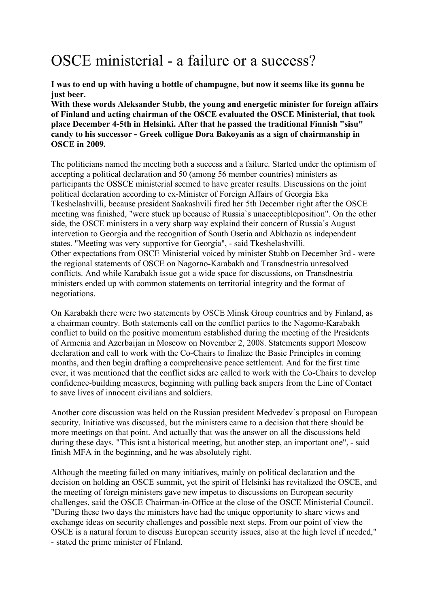## OSCE ministerial - a failure or a success?

**I was to end up with having a bottle of champagne, but now it seems like its gonna be just beer.** 

**With these words Aleksander Stubb, the young and energetic minister for foreign affairs of Finland and acting chairman of the OSCE evaluated the OSCE Ministerial, that took place December 4-5th in Helsinki. After that he passed the traditional Finnish "sisu" candy to his successor - Greek colligue Dora Bakoyanis as a sign of chairmanship in OSCE in 2009.** 

The politicians named the meeting both a success and a failure. Started under the optimism of accepting a political declaration and 50 (among 56 member countries) ministers as participants the OSSCE ministerial seemed to have greater results. Discussions on the joint political declaration according to ex-Minister of Foreign Affairs of Georgia Eka Tkeshelashvilli, because president Saakashvili fired her 5th December right after the OSCE meeting was finished, "were stuck up because of Russia`s unacceptibleposition". On the other side, the OSCE ministers in a very sharp way explaind their concern of Russia´s August intervetion to Georgia and the recognition of South Osetia and Abkhazia as independent states. "Meeting was very supportive for Georgia", - said Tkeshelashvilli. Other expectations from OSCE Ministerial voiced by minister Stubb on December 3rd - were the regional statements of OSCE on Nagorno-Karabakh and Transdnestria unresolved conflicts. And while Karabakh issue got a wide space for discussions, on Transdnestria ministers ended up with common statements on territorial integrity and the format of negotiations.

On Karabakh there were two statements by OSCE Minsk Group countries and by Finland, as a chairman country. Both statements call on the conflict parties to the Nagomo-Karabakh conflict to build on the positive momentum established during the meeting of the Presidents of Armenia and Azerbaijan in Moscow on November 2, 2008. Statements support Moscow declaration and call to work with the Co-Chairs to finalize the Basic Principles in coming months, and then begin drafting a comprehensive peace settlement. And for the first time ever, it was mentioned that the conflict sides are called to work with the Co-Chairs to develop confidence-building measures, beginning with pulling back snipers from the Line of Contact to save lives of innocent civilians and soldiers.

Another core discussion was held on the Russian president Medvedev´s proposal on European security. Initiative was discussed, but the ministers came to a decision that there should be more meetings on that point. And actually that was the answer on all the discussions held during these days. "This isnt a historical meeting, but another step, an important one", - said finish MFA in the beginning, and he was absolutely right.

Although the meeting failed on many initiatives, mainly on political declaration and the decision on holding an OSCE summit, yet the spirit of Helsinki has revitalized the OSCE, and the meeting of foreign ministers gave new impetus to discussions on European security challenges, said the OSCE Chairman-in-Office at the close of the OSCE Ministerial Council. "During these two days the ministers have had the unique opportunity to share views and exchange ideas on security challenges and possible next steps. From our point of view the OSCE is a natural forum to discuss European security issues, also at the high level if needed," - stated the prime minister of FInland.